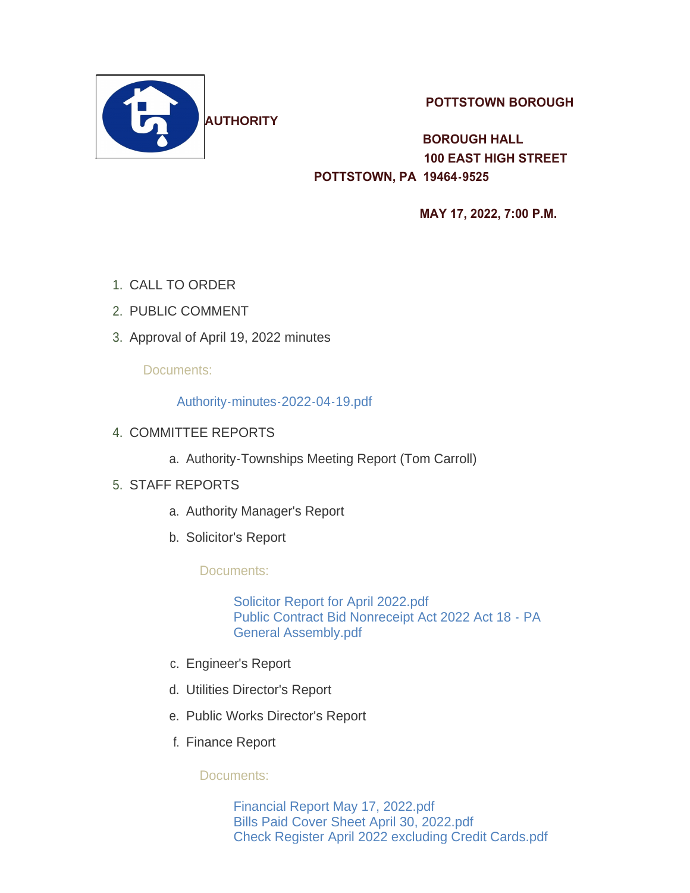

 **POTTSTOWN BOROUGH** 

 **BOROUGH HALL 100 EAST HIGH STREET POTTSTOWN, PA 19464-9525** 

 **MAY 17, 2022, 7:00 P.M.** 

- 1. CALL TO ORDER
- 2. PUBLIC COMMENT
- 3. Approval of April 19, 2022 minutes

# Documents:

### [Authority-minutes-2022-04-19.pdf](https://www.pottstown.org/AgendaCenter/ViewFile/Item/12626?fileID=5766)

- 4. COMMITTEE REPORTS
	- a. Authority-Townships Meeting Report (Tom Carroll)

# STAFF REPORTS 5.

- a. Authority Manager's Report
- b. Solicitor's Report

Documents:

[Solicitor Report for April 2022.pdf](https://www.pottstown.org/AgendaCenter/ViewFile/Item/12632?fileID=5767) [Public Contract Bid Nonreceipt Act 2022 Act 18 - PA](https://www.pottstown.org/AgendaCenter/ViewFile/Item/12632?fileID=5768)  General Assembly.pdf

- c. Engineer's Report
- d. Utilities Director's Report
- e. Public Works Director's Report
- f. Finance Report

Documents:

[Financial Report May 17, 2022.pdf](https://www.pottstown.org/AgendaCenter/ViewFile/Item/12634?fileID=5769) [Bills Paid Cover Sheet April 30, 2022.pdf](https://www.pottstown.org/AgendaCenter/ViewFile/Item/12634?fileID=5770) [Check Register April 2022 excluding Credit Cards.pdf](https://www.pottstown.org/AgendaCenter/ViewFile/Item/12634?fileID=5771)